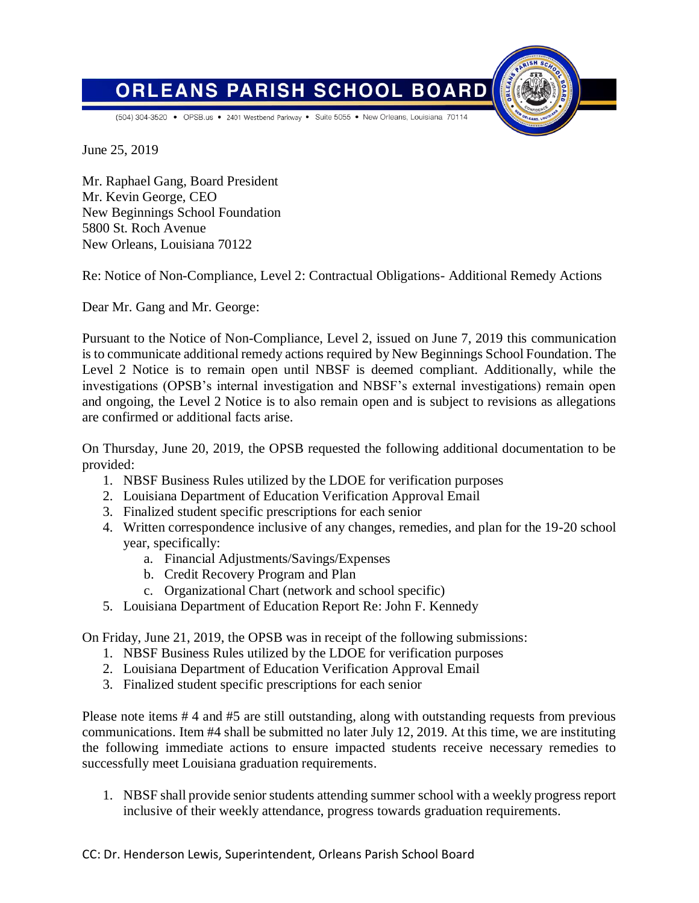**BOARD ORLEANS PARISH SCHOOL** 

(504) 304-3520 • OPSB.us • 2401 Westbend Parkway • Suite 5055 • New Orleans, Louisiana 70114

June 25, 2019

Mr. Raphael Gang, Board President Mr. Kevin George, CEO New Beginnings School Foundation 5800 St. Roch Avenue New Orleans, Louisiana 70122

Re: Notice of Non-Compliance, Level 2: Contractual Obligations- Additional Remedy Actions

Dear Mr. Gang and Mr. George:

Pursuant to the Notice of Non-Compliance, Level 2, issued on June 7, 2019 this communication is to communicate additional remedy actions required by New Beginnings School Foundation. The Level 2 Notice is to remain open until NBSF is deemed compliant. Additionally, while the investigations (OPSB's internal investigation and NBSF's external investigations) remain open and ongoing, the Level 2 Notice is to also remain open and is subject to revisions as allegations are confirmed or additional facts arise.

On Thursday, June 20, 2019, the OPSB requested the following additional documentation to be provided:

- 1. NBSF Business Rules utilized by the LDOE for verification purposes
- 2. Louisiana Department of Education Verification Approval Email
- 3. Finalized student specific prescriptions for each senior
- 4. Written correspondence inclusive of any changes, remedies, and plan for the 19-20 school year, specifically:
	- a. Financial Adjustments/Savings/Expenses
	- b. Credit Recovery Program and Plan
	- c. Organizational Chart (network and school specific)
- 5. Louisiana Department of Education Report Re: John F. Kennedy

On Friday, June 21, 2019, the OPSB was in receipt of the following submissions:

- 1. NBSF Business Rules utilized by the LDOE for verification purposes
- 2. Louisiana Department of Education Verification Approval Email
- 3. Finalized student specific prescriptions for each senior

Please note items # 4 and #5 are still outstanding, along with outstanding requests from previous communications. Item #4 shall be submitted no later July 12, 2019. At this time, we are instituting the following immediate actions to ensure impacted students receive necessary remedies to successfully meet Louisiana graduation requirements.

1. NBSF shall provide senior students attending summer school with a weekly progress report inclusive of their weekly attendance, progress towards graduation requirements.